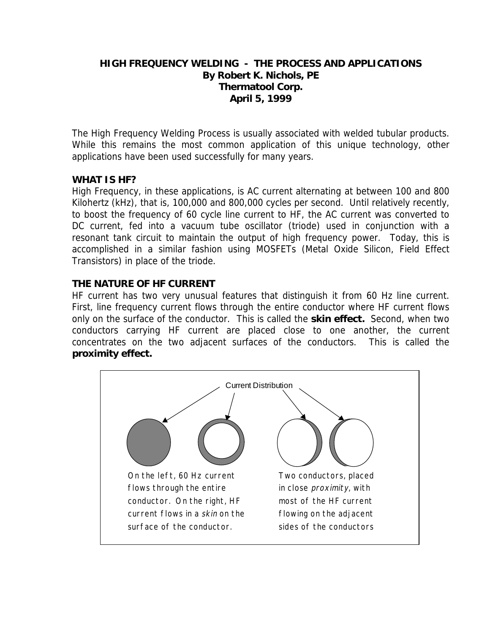# **HIGH FREQUENCY WELDING - THE PROCESS AND APPLICATIONS By Robert K. Nichols, PE Thermatool Corp. April 5, 1999**

The High Frequency Welding Process is usually associated with welded tubular products. While this remains the most common application of this unique technology, other applications have been used successfully for many years.

# **WHAT IS HF?**

High Frequency, in these applications, is AC current alternating at between 100 and 800 Kilohertz (kHz), that is, 100,000 and 800,000 cycles per second. Until relatively recently, to boost the frequency of 60 cycle line current to HF, the AC current was converted to DC current, fed into a vacuum tube oscillator (triode) used in conjunction with a resonant tank circuit to maintain the output of high frequency power. Today, this is accomplished in a similar fashion using MOSFETs (Metal Oxide Silicon, Field Effect Transistors) in place of the triode.

# **THE NATURE OF HF CURRENT**

HF current has two very unusual features that distinguish it from 60 Hz line current. First, line frequency current flows through the entire conductor where HF current flows only on the surface of the conductor. This is called the **skin effect.** Second, when two conductors carrying HF current are placed close to one another, the current concentrates on the two adjacent surfaces of the conductors. This is called the **proximity effect.**

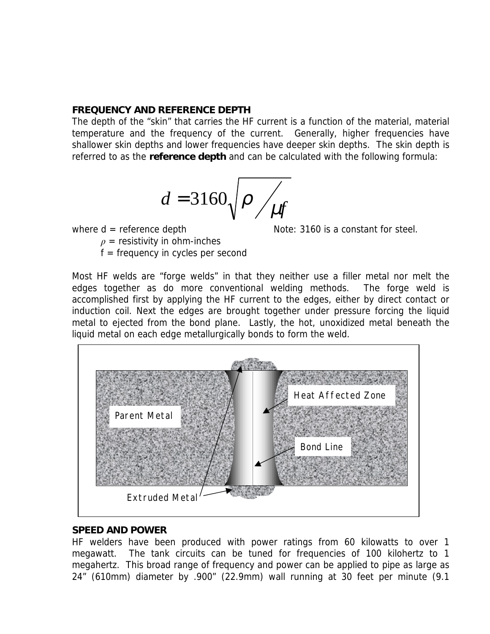#### **FREQUENCY AND REFERENCE DEPTH**

The depth of the "skin" that carries the HF current is a function of the material, material temperature and the frequency of the current. Generally, higher frequencies have shallower skin depths and lower frequencies have deeper skin depths. The skin depth is referred to as the **reference depth** and can be calculated with the following formula:

$$
d = 3160 \sqrt{\rho / \mu f}
$$

where  $d =$  reference depth  $\qquad \qquad$  Note: 3160 is a constant for steel.

 $\rho$  = resistivity in ohm-inches

 $f = frequency$  in cycles per second

Most HF welds are "forge welds" in that they neither use a filler metal nor melt the edges together as do more conventional welding methods. The forge weld is accomplished first by applying the HF current to the edges, either by direct contact or induction coil. Next the edges are brought together under pressure forcing the liquid metal to ejected from the bond plane. Lastly, the hot, unoxidized metal beneath the liquid metal on each edge metallurgically bonds to form the weld.



# **SPEED AND POWER**

HF welders have been produced with power ratings from 60 kilowatts to over 1 megawatt. The tank circuits can be tuned for frequencies of 100 kilohertz to 1 megahertz. This broad range of frequency and power can be applied to pipe as large as 24" (610mm) diameter by .900" (22.9mm) wall running at 30 feet per minute (9.1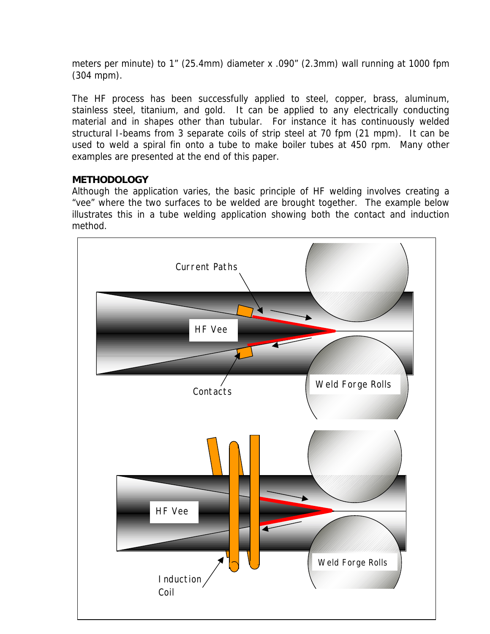meters per minute) to 1" (25.4mm) diameter x .090" (2.3mm) wall running at 1000 fpm (304 mpm).

The HF process has been successfully applied to steel, copper, brass, aluminum, stainless steel, titanium, and gold. It can be applied to any electrically conducting material and in shapes other than tubular. For instance it has continuously welded structural I-beams from 3 separate coils of strip steel at 70 fpm (21 mpm). It can be used to weld a spiral fin onto a tube to make boiler tubes at 450 rpm. Many other examples are presented at the end of this paper.

# **METHODOLOGY**

Although the application varies, the basic principle of HF welding involves creating a "vee" where the two surfaces to be welded are brought together. The example below illustrates this in a tube welding application showing both the contact and induction method.

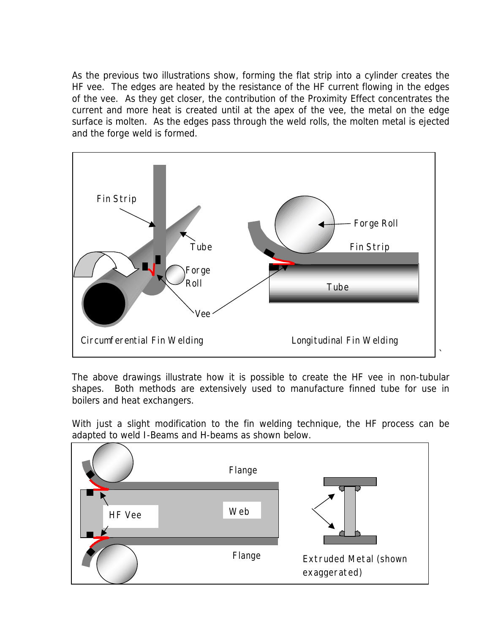As the previous two illustrations show, forming the flat strip into a cylinder creates the HF vee. The edges are heated by the resistance of the HF current flowing in the edges of the vee. As they get closer, the contribution of the Proximity Effect concentrates the current and more heat is created until at the apex of the vee, the metal on the edge surface is molten. As the edges pass through the weld rolls, the molten metal is ejected and the forge weld is formed.



The above drawings illustrate how it is possible to create the HF vee in non-tubular shapes. Both methods are extensively used to manufacture finned tube for use in boilers and heat exchangers.

With just a slight modification to the fin welding technique, the HF process can be adapted to weld I-Beams and H-beams as shown below.

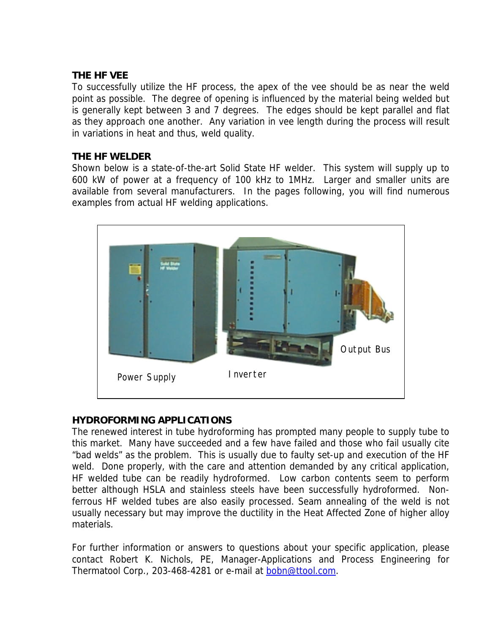#### **THE HF VEE**

To successfully utilize the HF process, the apex of the vee should be as near the weld point as possible. The degree of opening is influenced by the material being welded but is generally kept between 3 and 7 degrees. The edges should be kept parallel and flat as they approach one another. Any variation in vee length during the process will result in variations in heat and thus, weld quality.

#### **THE HF WELDER**

Shown below is a state-of-the-art Solid State HF welder. This system will supply up to 600 kW of power at a frequency of 100 kHz to 1MHz. Larger and smaller units are available from several manufacturers. In the pages following, you will find numerous examples from actual HF welding applications.



# **HYDROFORMING APPLICATIONS**

The renewed interest in tube hydroforming has prompted many people to supply tube to this market. Many have succeeded and a few have failed and those who fail usually cite "bad welds" as the problem. This is usually due to faulty set-up and execution of the HF weld. Done properly, with the care and attention demanded by any critical application, HF welded tube can be readily hydroformed. Low carbon contents seem to perform better although HSLA and stainless steels have been successfully hydroformed. Nonferrous HF welded tubes are also easily processed. Seam annealing of the weld is not usually necessary but may improve the ductility in the Heat Affected Zone of higher alloy materials.

For further information or answers to questions about your specific application, please contact Robert K. Nichols, PE, Manager-Applications and Process Engineering for Thermatool Corp., 203-468-4281 or e-mail at **bobn@ttool.com**.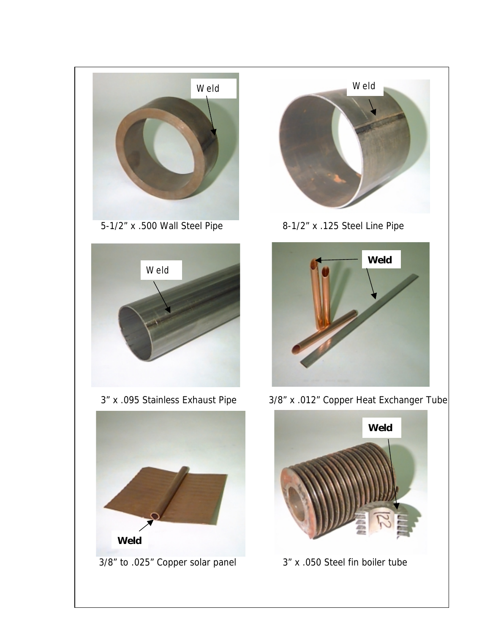







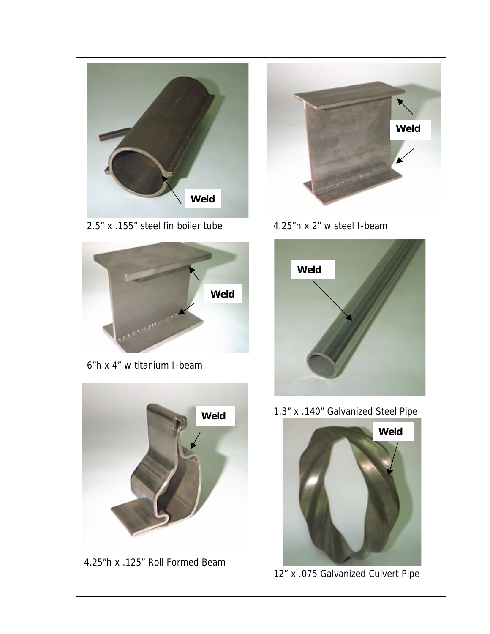